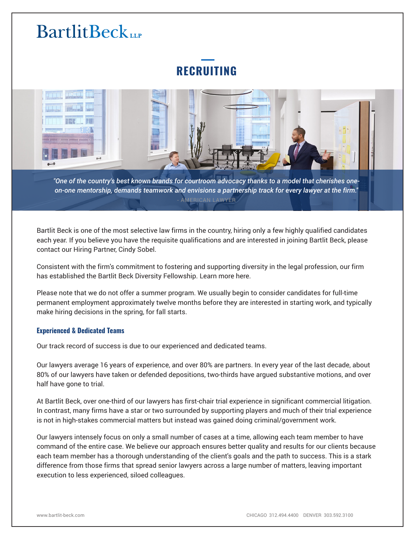# **RECRUITING**



*"One of the country's best known brands for courtroom advocacy thanks to a model that cherishes oneon-one mentorship, demands teamwork and envisions a partnership track for every lawyer at the firm."* AMERICAN LAWYER

Bartlit Beck is one of the most selective law firms in the country, hiring only a few highly qualified candidates each year. If you believe you have the requisite qualifications and are interested in joining Bartlit Beck, please contact our Hiring Partner, Cindy Sobel.

Consistent with the firm's commitment to fostering and supporting diversity in the legal profession, our firm has established the Bartlit Beck Diversity Fellowship. Learn more here.

Please note that we do not offer a summer program. We usually begin to consider candidates for full-time permanent employment approximately twelve months before they are interested in starting work, and typically make hiring decisions in the spring, for fall starts.

#### **Experienced & Dedicated Teams**

Our track record of success is due to our experienced and dedicated teams.

Our lawyers average 16 years of experience, and over 80% are partners. In every year of the last decade, about 80% of our lawyers have taken or defended depositions, two-thirds have argued substantive motions, and over half have gone to trial.

At Bartlit Beck, over one-third of our lawyers has first-chair trial experience in significant commercial litigation. In contrast, many firms have a star or two surrounded by supporting players and much of their trial experience is not in high-stakes commercial matters but instead was gained doing criminal/government work.

Our lawyers intensely focus on only a small number of cases at a time, allowing each team member to have command of the entire case. We believe our approach ensures better quality and results for our clients because each team member has a thorough understanding of the client's goals and the path to success. This is a stark difference from those firms that spread senior lawyers across a large number of matters, leaving important execution to less experienced, siloed colleagues.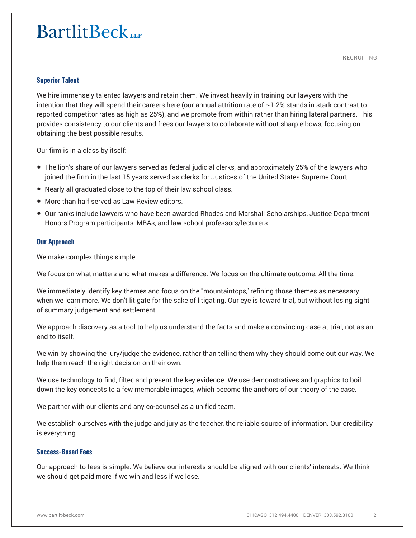#### **Superior Talent**

We hire immensely talented lawyers and retain them. We invest heavily in training our lawyers with the intention that they will spend their careers here (our annual attrition rate of ~1‑2% stands in stark contrast to reported competitor rates as high as 25%), and we promote from within rather than hiring lateral partners. This provides consistency to our clients and frees our lawyers to collaborate without sharp elbows, focusing on obtaining the best possible results.

Our firm is in a class by itself:

- The lion's share of our lawyers served as federal judicial clerks, and approximately 25% of the lawyers who joined the firm in the last 15 years served as clerks for Justices of the United States Supreme Court.
- Nearly all graduated close to the top of their law school class.
- More than half served as Law Review editors.
- Our ranks include lawyers who have been awarded Rhodes and Marshall Scholarships, Justice Department Honors Program participants, MBAs, and law school professors/lecturers.

#### **Our Approach**

We make complex things simple.

We focus on what matters and what makes a difference. We focus on the ultimate outcome. All the time.

We immediately identify key themes and focus on the "mountaintops," refining those themes as necessary when we learn more. We don't litigate for the sake of litigating. Our eye is toward trial, but without losing sight of summary judgement and settlement.

We approach discovery as a tool to help us understand the facts and make a convincing case at trial, not as an end to itself.

We win by showing the jury/judge the evidence, rather than telling them why they should come out our way. We help them reach the right decision on their own.

We use technology to find, filter, and present the key evidence. We use demonstratives and graphics to boil down the key concepts to a few memorable images, which become the anchors of our theory of the case.

We partner with our clients and any co-counsel as a unified team.

We establish ourselves with the judge and jury as the teacher, the reliable source of information. Our credibility is everything.

#### **Success-Based Fees**

Our approach to fees is simple. We believe our interests should be aligned with our clients' interests. We think we should get paid more if we win and less if we lose.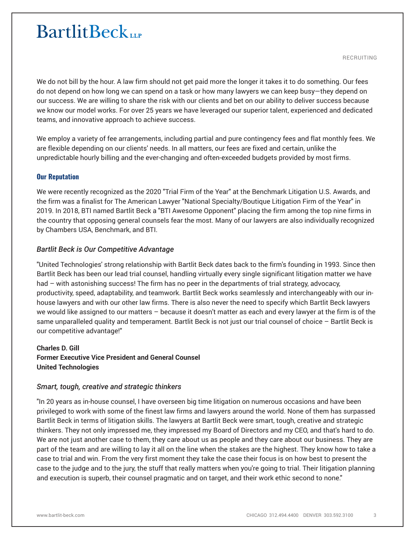RECRUITING

We do not bill by the hour. A law firm should not get paid more the longer it takes it to do something. Our fees do not depend on how long we can spend on a task or how many lawyers we can keep busy—they depend on our success. We are willing to share the risk with our clients and bet on our ability to deliver success because we know our model works. For over 25 years we have leveraged our superior talent, experienced and dedicated teams, and innovative approach to achieve success.

We employ a variety of fee arrangements, including partial and pure contingency fees and flat monthly fees. We are flexible depending on our clients' needs. In all matters, our fees are fixed and certain, unlike the unpredictable hourly billing and the ever-changing and often-exceeded budgets provided by most firms.

#### **Our Reputation**

We were recently recognized as the 2020 "Trial Firm of the Year" at the Benchmark Litigation U.S. Awards, and the firm was a finalist for The American Lawyer "National Specialty/Boutique Litigation Firm of the Year" in 2019. In 2018, BTI named Bartlit Beck a "BTI Awesome Opponent" placing the firm among the top nine firms in the country that opposing general counsels fear the most. Many of our lawyers are also individually recognized by Chambers USA, Benchmark, and BTI.

#### *Bartlit Beck is Our Competitive Advantage*

"United Technologies' strong relationship with Bartlit Beck dates back to the firm's founding in 1993. Since then Bartlit Beck has been our lead trial counsel, handling virtually every single significant litigation matter we have had – with astonishing success! The firm has no peer in the departments of trial strategy, advocacy, productivity, speed, adaptability, and teamwork. Bartlit Beck works seamlessly and interchangeably with our inhouse lawyers and with our other law firms. There is also never the need to specify which Bartlit Beck lawyers we would like assigned to our matters – because it doesn't matter as each and every lawyer at the firm is of the same unparalleled quality and temperament. Bartlit Beck is not just our trial counsel of choice – Bartlit Beck is our competitive advantage!"

# **Charles D. Gill Former Executive Vice President and General Counsel United Technologies**

#### *Smart, tough, creative and strategic thinkers*

"In 20 years as in-house counsel, I have overseen big time litigation on numerous occasions and have been privileged to work with some of the finest law firms and lawyers around the world. None of them has surpassed Bartlit Beck in terms of litigation skills. The lawyers at Bartlit Beck were smart, tough, creative and strategic thinkers. They not only impressed me, they impressed my Board of Directors and my CEO, and that's hard to do. We are not just another case to them, they care about us as people and they care about our business. They are part of the team and are willing to lay it all on the line when the stakes are the highest. They know how to take a case to trial and win. From the very first moment they take the case their focus is on how best to present the case to the judge and to the jury, the stuff that really matters when you're going to trial. Their litigation planning and execution is superb, their counsel pragmatic and on target, and their work ethic second to none."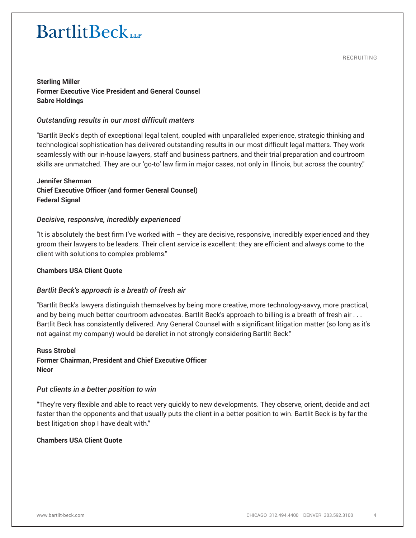RECRUITING

# **Sterling Miller Former Executive Vice President and General Counsel Sabre Holdings**

## *Outstanding results in our most difficult matters*

"Bartlit Beck's depth of exceptional legal talent, coupled with unparalleled experience, strategic thinking and technological sophistication has delivered outstanding results in our most difficult legal matters. They work seamlessly with our in-house lawyers, staff and business partners, and their trial preparation and courtroom skills are unmatched. They are our 'go-to' law firm in major cases, not only in Illinois, but across the country."

## **Jennifer Sherman Chief Executive Officer (and former General Counsel) Federal Signal**

### *Decisive, responsive, incredibly experienced*

"It is absolutely the best firm I've worked with – they are decisive, responsive, incredibly experienced and they groom their lawyers to be leaders. Their client service is excellent: they are efficient and always come to the client with solutions to complex problems."

### **Chambers USA Client Quote**

### *Bartlit Beck's approach is a breath of fresh air*

"Bartlit Beck's lawyers distinguish themselves by being more creative, more technology-savvy, more practical, and by being much better courtroom advocates. Bartlit Beck's approach to billing is a breath of fresh air . . . Bartlit Beck has consistently delivered. Any General Counsel with a significant litigation matter (so long as it's not against my company) would be derelict in not strongly considering Bartlit Beck."

# **Russ Strobel Former Chairman, President and Chief Executive Officer Nicor**

#### *Put clients in a better position to win*

"They're very flexible and able to react very quickly to new developments. They observe, orient, decide and act faster than the opponents and that usually puts the client in a better position to win. Bartlit Beck is by far the best litigation shop I have dealt with."

#### **Chambers USA Client Quote**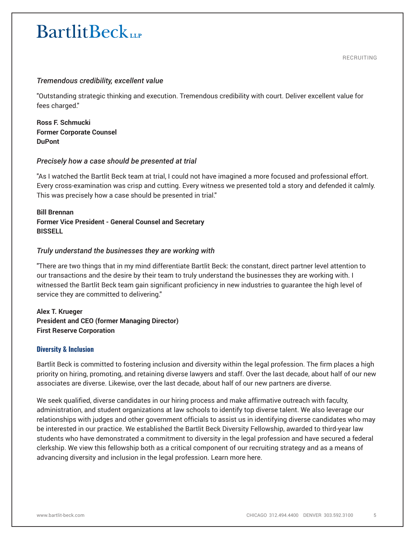RECRUITING

### *Tremendous credibility, excellent value*

"Outstanding strategic thinking and execution. Tremendous credibility with court. Deliver excellent value for fees charged."

**Ross F. Schmucki Former Corporate Counsel DuPont**

### *Precisely how a case should be presented at trial*

"As I watched the Bartlit Beck team at trial, I could not have imagined a more focused and professional effort. Every cross-examination was crisp and cutting. Every witness we presented told a story and defended it calmly. This was precisely how a case should be presented in trial."

### **Bill Brennan Former Vice President - General Counsel and Secretary BISSELL**

### *Truly understand the businesses they are working with*

"There are two things that in my mind differentiate Bartlit Beck: the constant, direct partner level attention to our transactions and the desire by their team to truly understand the businesses they are working with. I witnessed the Bartlit Beck team gain significant proficiency in new industries to guarantee the high level of service they are committed to delivering."

**Alex T. Krueger President and CEO (former Managing Director) First Reserve Corporation**

#### **Diversity & Inclusion**

Bartlit Beck is committed to fostering inclusion and diversity within the legal profession. The firm places a high priority on hiring, promoting, and retaining diverse lawyers and staff. Over the last decade, about half of our new associates are diverse. Likewise, over the last decade, about half of our new partners are diverse.

We seek qualified, diverse candidates in our hiring process and make affirmative outreach with faculty, administration, and student organizations at law schools to identify top diverse talent. We also leverage our relationships with judges and other government officials to assist us in identifying diverse candidates who may be interested in our practice. We established the Bartlit Beck Diversity Fellowship, awarded to third-year law students who have demonstrated a commitment to diversity in the legal profession and have secured a federal clerkship. We view this fellowship both as a critical component of our recruiting strategy and as a means of advancing diversity and inclusion in the legal profession. Learn more here.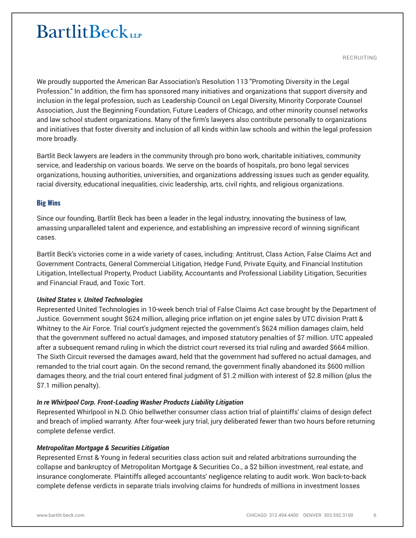RECRUITING

We proudly supported the American Bar Association's Resolution 113 "Promoting Diversity in the Legal Profession." In addition, the firm has sponsored many initiatives and organizations that support diversity and inclusion in the legal profession, such as Leadership Council on Legal Diversity, Minority Corporate Counsel Association, Just the Beginning Foundation, Future Leaders of Chicago, and other minority counsel networks and law school student organizations. Many of the firm's lawyers also contribute personally to organizations and initiatives that foster diversity and inclusion of all kinds within law schools and within the legal profession more broadly.

Bartlit Beck lawyers are leaders in the community through pro bono work, charitable initiatives, community service, and leadership on various boards. We serve on the boards of hospitals, pro bono legal services organizations, housing authorities, universities, and organizations addressing issues such as gender equality, racial diversity, educational inequalities, civic leadership, arts, civil rights, and religious organizations.

### **Big Wins**

Since our founding, Bartlit Beck has been a leader in the legal industry, innovating the business of law, amassing unparalleled talent and experience, and establishing an impressive record of winning significant cases.

Bartlit Beck's victories come in a wide variety of cases, including: Antitrust, Class Action, False Claims Act and Government Contracts, General Commercial Litigation, Hedge Fund, Private Equity, and Financial Institution Litigation, Intellectual Property, Product Liability, Accountants and Professional Liability Litigation, Securities and Financial Fraud, and Toxic Tort.

#### *United States v. United Technologies*

Represented United Technologies in 10-week bench trial of False Claims Act case brought by the Department of Justice. Government sought \$624 million, alleging price inflation on jet engine sales by UTC division Pratt & Whitney to the Air Force. Trial court's judgment rejected the government's \$624 million damages claim, held that the government suffered no actual damages, and imposed statutory penalties of \$7 million. UTC appealed after a subsequent remand ruling in which the district court reversed its trial ruling and awarded \$664 million. The Sixth Circuit reversed the damages award, held that the government had suffered no actual damages, and remanded to the trial court again. On the second remand, the government finally abandoned its \$600 million damages theory, and the trial court entered final judgment of \$1.2 million with interest of \$2.8 million (plus the \$7.1 million penalty).

### *In re Whirlpool Corp. Front-Loading Washer Products Liability Litigation*

Represented Whirlpool in N.D. Ohio bellwether consumer class action trial of plaintiffs' claims of design defect and breach of implied warranty. After four-week jury trial, jury deliberated fewer than two hours before returning complete defense verdict.

#### *Metropolitan Mortgage & Securities Litigation*

Represented Ernst & Young in federal securities class action suit and related arbitrations surrounding the collapse and bankruptcy of Metropolitan Mortgage & Securities Co., a \$2 billion investment, real estate, and insurance conglomerate. Plaintiffs alleged accountants' negligence relating to audit work. Won back-to-back complete defense verdicts in separate trials involving claims for hundreds of millions in investment losses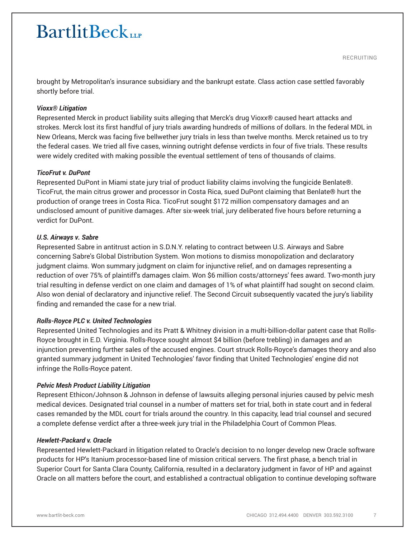RECRUITING

brought by Metropolitan's insurance subsidiary and the bankrupt estate. Class action case settled favorably shortly before trial.

#### *Vioxx® Litigation*

Represented Merck in product liability suits alleging that Merck's drug Vioxx® caused heart attacks and strokes. Merck lost its first handful of jury trials awarding hundreds of millions of dollars. In the federal MDL in New Orleans, Merck was facing five bellwether jury trials in less than twelve months. Merck retained us to try the federal cases. We tried all five cases, winning outright defense verdicts in four of five trials. These results were widely credited with making possible the eventual settlement of tens of thousands of claims.

#### *TicoFrut v. DuPont*

Represented DuPont in Miami state jury trial of product liability claims involving the fungicide Benlate®. TicoFrut, the main citrus grower and processor in Costa Rica, sued DuPont claiming that Benlate® hurt the production of orange trees in Costa Rica. TicoFrut sought \$172 million compensatory damages and an undisclosed amount of punitive damages. After six-week trial, jury deliberated five hours before returning a verdict for DuPont.

#### *U.S. Airways v. Sabre*

Represented Sabre in antitrust action in S.D.N.Y. relating to contract between U.S. Airways and Sabre concerning Sabre's Global Distribution System. Won motions to dismiss monopolization and declaratory judgment claims. Won summary judgment on claim for injunctive relief, and on damages representing a reduction of over 75% of plaintiff's damages claim. Won \$6 million costs/attorneys' fees award. Two-month jury trial resulting in defense verdict on one claim and damages of 1% of what plaintiff had sought on second claim. Also won denial of declaratory and injunctive relief. The Second Circuit subsequently vacated the jury's liability finding and remanded the case for a new trial.

#### *Rolls-Royce PLC v. United Technologies*

Represented United Technologies and its Pratt & Whitney division in a multi-billion-dollar patent case that Rolls-Royce brought in E.D. Virginia. Rolls-Royce sought almost \$4 billion (before trebling) in damages and an injunction preventing further sales of the accused engines. Court struck Rolls-Royce's damages theory and also granted summary judgment in United Technologies' favor finding that United Technologies' engine did not infringe the Rolls-Royce patent.

#### *Pelvic Mesh Product Liability Litigation*

Represent Ethicon/Johnson & Johnson in defense of lawsuits alleging personal injuries caused by pelvic mesh medical devices. Designated trial counsel in a number of matters set for trial, both in state court and in federal cases remanded by the MDL court for trials around the country. In this capacity, lead trial counsel and secured a complete defense verdict after a three-week jury trial in the Philadelphia Court of Common Pleas.

#### *Hewlett-Packard v. Oracle*

Represented Hewlett-Packard in litigation related to Oracle's decision to no longer develop new Oracle software products for HP's Itanium processor-based line of mission critical servers. The first phase, a bench trial in Superior Court for Santa Clara County, California, resulted in a declaratory judgment in favor of HP and against Oracle on all matters before the court, and established a contractual obligation to continue developing software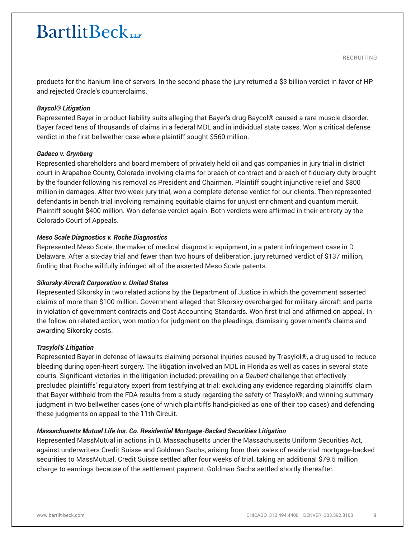RECRUITING

products for the Itanium line of servers. In the second phase the jury returned a \$3 billion verdict in favor of HP and rejected Oracle's counterclaims.

#### *Baycol® Litigation*

Represented Bayer in product liability suits alleging that Bayer's drug Baycol® caused a rare muscle disorder. Bayer faced tens of thousands of claims in a federal MDL and in individual state cases. Won a critical defense verdict in the first bellwether case where plaintiff sought \$560 million.

#### *Gadeco v. Grynberg*

Represented shareholders and board members of privately held oil and gas companies in jury trial in district court in Arapahoe County, Colorado involving claims for breach of contract and breach of fiduciary duty brought by the founder following his removal as President and Chairman. Plaintiff sought injunctive relief and \$800 million in damages. After two-week jury trial, won a complete defense verdict for our clients. Then represented defendants in bench trial involving remaining equitable claims for unjust enrichment and quantum meruit. Plaintiff sought \$400 million. Won defense verdict again. Both verdicts were affirmed in their entirety by the Colorado Court of Appeals.

#### *Meso Scale Diagnostics v. Roche Diagnostics*

Represented Meso Scale, the maker of medical diagnostic equipment, in a patent infringement case in D. Delaware. After a six-day trial and fewer than two hours of deliberation, jury returned verdict of \$137 million, finding that Roche willfully infringed all of the asserted Meso Scale patents.

#### *Sikorsky Aircraft Corporation v. United States*

Represented Sikorsky in two related actions by the Department of Justice in which the government asserted claims of more than \$100 million. Government alleged that Sikorsky overcharged for military aircraft and parts in violation of government contracts and Cost Accounting Standards. Won first trial and affirmed on appeal. In the follow-on related action, won motion for judgment on the pleadings, dismissing government's claims and awarding Sikorsky costs.

#### *Trasylol® Litigation*

Represented Bayer in defense of lawsuits claiming personal injuries caused by Trasylol®, a drug used to reduce bleeding during open-heart surgery. The litigation involved an MDL in Florida as well as cases in several state courts. Significant victories in the litigation included: prevailing on a *Daubert* challenge that effectively precluded plaintiffs' regulatory expert from testifying at trial; excluding any evidence regarding plaintiffs' claim that Bayer withheld from the FDA results from a study regarding the safety of Trasylol®; and winning summary judgment in two bellwether cases (one of which plaintiffs hand-picked as one of their top cases) and defending these judgments on appeal to the 11th Circuit.

#### *Massachusetts Mutual Life Ins. Co. Residential Mortgage-Backed Securities Litigation*

Represented MassMutual in actions in D. Massachusetts under the Massachusetts Uniform Securities Act, against underwriters Credit Suisse and Goldman Sachs, arising from their sales of residential mortgage-backed securities to MassMutual. Credit Suisse settled after four weeks of trial, taking an additional \$79.5 million charge to earnings because of the settlement payment. Goldman Sachs settled shortly thereafter.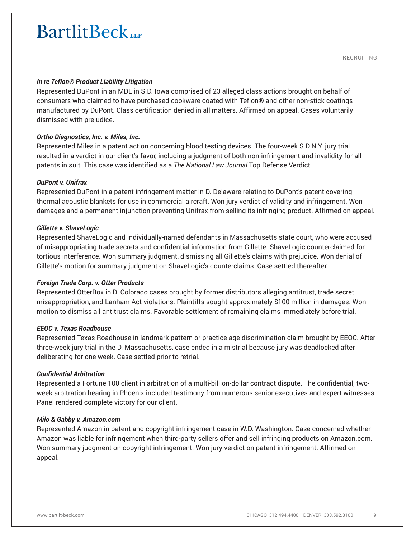#### *In re Teflon® Product Liability Litigation*

Represented DuPont in an MDL in S.D. Iowa comprised of 23 alleged class actions brought on behalf of consumers who claimed to have purchased cookware coated with Teflon® and other non-stick coatings manufactured by DuPont. Class certification denied in all matters. Affirmed on appeal. Cases voluntarily dismissed with prejudice.

#### *Ortho Diagnostics, Inc. v. Miles, Inc.*

Represented Miles in a patent action concerning blood testing devices. The four-week S.D.N.Y. jury trial resulted in a verdict in our client's favor, including a judgment of both non-infringement and invalidity for all patents in suit. This case was identified as a *The National Law Journal* Top Defense Verdict.

#### *DuPont v. Unifrax*

Represented DuPont in a patent infringement matter in D. Delaware relating to DuPont's patent covering thermal acoustic blankets for use in commercial aircraft. Won jury verdict of validity and infringement. Won damages and a permanent injunction preventing Unifrax from selling its infringing product. Affirmed on appeal.

#### *Gillette v. ShaveLogic*

Represented ShaveLogic and individually-named defendants in Massachusetts state court, who were accused of misappropriating trade secrets and confidential information from Gillette. ShaveLogic counterclaimed for tortious interference. Won summary judgment, dismissing all Gillette's claims with prejudice. Won denial of Gillette's motion for summary judgment on ShaveLogic's counterclaims. Case settled thereafter.

#### *Foreign Trade Corp. v. Otter Products*

Represented OtterBox in D. Colorado cases brought by former distributors alleging antitrust, trade secret misappropriation, and Lanham Act violations. Plaintiffs sought approximately \$100 million in damages. Won motion to dismiss all antitrust claims. Favorable settlement of remaining claims immediately before trial.

#### *EEOC v. Texas Roadhouse*

Represented Texas Roadhouse in landmark pattern or practice age discrimination claim brought by EEOC. After three-week jury trial in the D. Massachusetts, case ended in a mistrial because jury was deadlocked after deliberating for one week. Case settled prior to retrial.

#### *Confidential Arbitration*

Represented a Fortune 100 client in arbitration of a multi-billion-dollar contract dispute. The confidential, twoweek arbitration hearing in Phoenix included testimony from numerous senior executives and expert witnesses. Panel rendered complete victory for our client.

#### *Milo & Gabby v. Amazon.com*

Represented Amazon in patent and copyright infringement case in W.D. Washington. Case concerned whether Amazon was liable for infringement when third-party sellers offer and sell infringing products on Amazon.com. Won summary judgment on copyright infringement. Won jury verdict on patent infringement. Affirmed on appeal.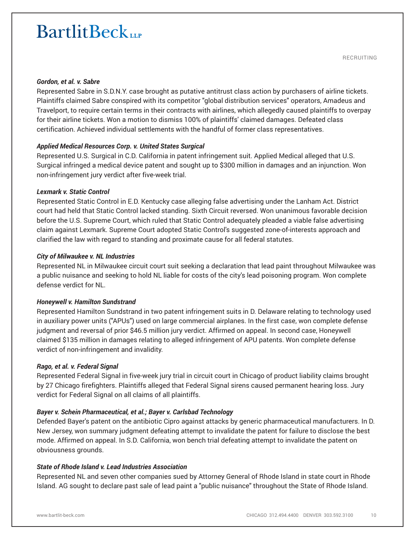RECRUITING

#### *Gordon, et al. v. Sabre*

Represented Sabre in S.D.N.Y. case brought as putative antitrust class action by purchasers of airline tickets. Plaintiffs claimed Sabre conspired with its competitor "global distribution services" operators, Amadeus and Travelport, to require certain terms in their contracts with airlines, which allegedly caused plaintiffs to overpay for their airline tickets. Won a motion to dismiss 100% of plaintiffs' claimed damages. Defeated class certification. Achieved individual settlements with the handful of former class representatives.

#### *Applied Medical Resources Corp. v. United States Surgical*

Represented U.S. Surgical in C.D. California in patent infringement suit. Applied Medical alleged that U.S. Surgical infringed a medical device patent and sought up to \$300 million in damages and an injunction. Won non-infringement jury verdict after five-week trial.

#### *Lexmark v. Static Control*

Represented Static Control in E.D. Kentucky case alleging false advertising under the Lanham Act. District court had held that Static Control lacked standing. Sixth Circuit reversed. Won unanimous favorable decision before the U.S. Supreme Court, which ruled that Static Control adequately pleaded a viable false advertising claim against Lexmark. Supreme Court adopted Static Control's suggested zone-of-interests approach and clarified the law with regard to standing and proximate cause for all federal statutes.

### *City of Milwaukee v. NL Industries*

Represented NL in Milwaukee circuit court suit seeking a declaration that lead paint throughout Milwaukee was a public nuisance and seeking to hold NL liable for costs of the city's lead poisoning program. Won complete defense verdict for NL.

#### *Honeywell v. Hamilton Sundstrand*

Represented Hamilton Sundstrand in two patent infringement suits in D. Delaware relating to technology used in auxiliary power units ("APUs") used on large commercial airplanes. In the first case, won complete defense judgment and reversal of prior \$46.5 million jury verdict. Affirmed on appeal. In second case, Honeywell claimed \$135 million in damages relating to alleged infringement of APU patents. Won complete defense verdict of non-infringement and invalidity.

#### *Rago, et al. v. Federal Signal*

Represented Federal Signal in five-week jury trial in circuit court in Chicago of product liability claims brought by 27 Chicago firefighters. Plaintiffs alleged that Federal Signal sirens caused permanent hearing loss. Jury verdict for Federal Signal on all claims of all plaintiffs.

### *Bayer v. Schein Pharmaceutical, et al.; Bayer v. Carlsbad Technology*

Defended Bayer's patent on the antibiotic Cipro against attacks by generic pharmaceutical manufacturers. In D. New Jersey, won summary judgment defeating attempt to invalidate the patent for failure to disclose the best mode. Affirmed on appeal. In S.D. California, won bench trial defeating attempt to invalidate the patent on obviousness grounds.

#### *State of Rhode Island v. Lead Industries Association*

Represented NL and seven other companies sued by Attorney General of Rhode Island in state court in Rhode Island. AG sought to declare past sale of lead paint a "public nuisance" throughout the State of Rhode Island.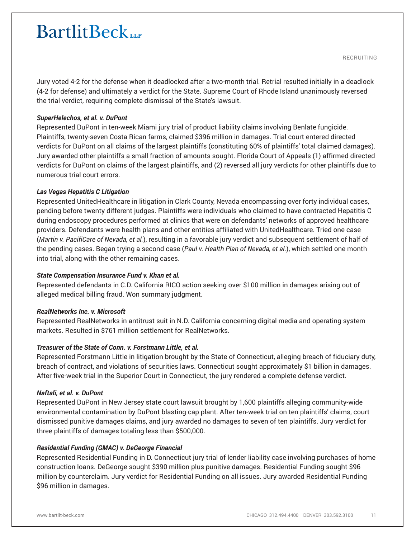RECRUITING

Jury voted 4-2 for the defense when it deadlocked after a two-month trial. Retrial resulted initially in a deadlock (4-2 for defense) and ultimately a verdict for the State. Supreme Court of Rhode Island unanimously reversed the trial verdict, requiring complete dismissal of the State's lawsuit.

#### *SuperHelechos, et al. v. DuPont*

Represented DuPont in ten-week Miami jury trial of product liability claims involving Benlate fungicide. Plaintiffs, twenty-seven Costa Rican farms, claimed \$396 million in damages. Trial court entered directed verdicts for DuPont on all claims of the largest plaintiffs (constituting 60% of plaintiffs' total claimed damages). Jury awarded other plaintiffs a small fraction of amounts sought. Florida Court of Appeals (1) affirmed directed verdicts for DuPont on claims of the largest plaintiffs, and (2) reversed all jury verdicts for other plaintiffs due to numerous trial court errors.

#### *Las Vegas Hepatitis C Litigation*

Represented UnitedHealthcare in litigation in Clark County, Nevada encompassing over forty individual cases, pending before twenty different judges. Plaintiffs were individuals who claimed to have contracted Hepatitis C during endoscopy procedures performed at clinics that were on defendants' networks of approved healthcare providers. Defendants were health plans and other entities affiliated with UnitedHealthcare. Tried one case (*Martin v. PacifiCare of Nevada, et al.*), resulting in a favorable jury verdict and subsequent settlement of half of the pending cases. Began trying a second case (*Paul v. Health Plan of Nevada, et al.*), which settled one month into trial, along with the other remaining cases.

#### *State Compensation Insurance Fund v. Khan et al.*

Represented defendants in C.D. California RICO action seeking over \$100 million in damages arising out of alleged medical billing fraud. Won summary judgment.

#### *RealNetworks Inc. v. Microsoft*

Represented RealNetworks in antitrust suit in N.D. California concerning digital media and operating system markets. Resulted in \$761 million settlement for RealNetworks.

#### *Treasurer of the State of Conn. v. Forstmann Little, et al.*

Represented Forstmann Little in litigation brought by the State of Connecticut, alleging breach of fiduciary duty, breach of contract, and violations of securities laws. Connecticut sought approximately \$1 billion in damages. After five-week trial in the Superior Court in Connecticut, the jury rendered a complete defense verdict.

#### *Naftali, et al. v. DuPont*

Represented DuPont in New Jersey state court lawsuit brought by 1,600 plaintiffs alleging community-wide environmental contamination by DuPont blasting cap plant. After ten-week trial on ten plaintiffs' claims, court dismissed punitive damages claims, and jury awarded no damages to seven of ten plaintiffs. Jury verdict for three plaintiffs of damages totaling less than \$500,000.

#### *Residential Funding (GMAC) v. DeGeorge Financial*

Represented Residential Funding in D. Connecticut jury trial of lender liability case involving purchases of home construction loans. DeGeorge sought \$390 million plus punitive damages. Residential Funding sought \$96 million by counterclaim. Jury verdict for Residential Funding on all issues. Jury awarded Residential Funding \$96 million in damages.